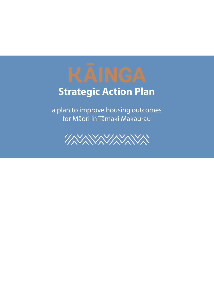# **Strategic Action Plan**

a plan to improve housing outcomes for Māori in Tāmaki Makaurau

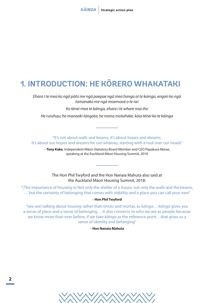# **1. INTRODUCTION: HE KŌRERO WHAKATAKI**

*Ehara i te mea ko ngā pātū me ngā paepae ngā mea hanga ai te kaīnga, engari ko ngā tūmanako me ngā moemoeā o te iwi*

*Ko tēnei mea te kāinga, ehara i te whare noa iho*

*He ruruhau; he manaaki tāngata; he mana motuhake, kōia tēnei ko te kāinga*

"It's not about walls and beams; it's about hopes and dreams. It's about our hopes and dreams for our whānau, starting with a roof over our heads"

– **Tony Kake**, Independent Māori Statutory Board Member and CEO Papakura Marae, speaking at the Auckland Māori Housing Summit, 2018

The Hon Phil Twyford and the Hon Nanaia Mahuta also said at the Auckland Māori Housing Summit, 2018:

"(The importance of housing is) Not only the shelter of a house, not only the walls and the beams, … but the certainty of belonging that comes with stability and a place you can call your own"

#### – **Hon Phil Twyford**

"(we are) talking about *housing* rather than bricks and mortar, as *kāinga… kāinga* gives you a sense of place and a sense of belonging …it also connects to who we are as people because we know more than ever before, if we take *kāinga* as the reference point…that gives us a sense of identity and belonging"

– **Hon Nanaia Mahuta**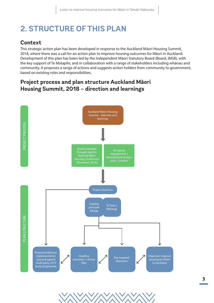# **2. STRUCTURE OF THIS PLAN**

### **Context**

This strategic action plan has been developed in response to the Auckland Māori Housing Summit, 2018, where there was a call for an action plan to improve housing outcomes for Māori in Auckland. Development of this plan has been led by the Independent Māori Statutory Board (Board, IMSB), with the key support of Te Matapihi, and in collaboration with a range of stakeholders including whānau and community. It proposes a range of actions and suggests action holders from community to government, based on existing roles and responsibilities.

## **Project process and plan structure Auckland Māori Housing Summit, 2018 – direction and learnings**

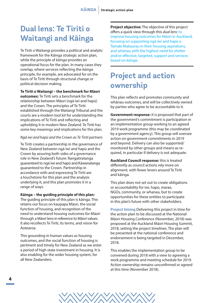## **Dual lens: Te Tiriti o Waitangi and Kāinga**

Te Tiriti o Waitangi provides a political and analytic framework for the Kāinga strategic action plan, while the principle of *kāinga* provides an operational focus for the plan. In many cases they overlap, where services reflecting the *kāinga* principle, for example, are advocated for on the basis of Te Tiriti through structural change or political decision making.

#### **Te Tiriti o Waitangi – the benchmark for Māori**

**outcomes:** Te Tiriti sets a benchmark for the relationship between Māori (ngā iwi and hapū) and the Crown. The principles of Te Tiriti established through the Waitangi Tribunal and the courts are a modern tool kit for understanding the implications of Te Tiriti and reflecting and upholding it in modern New Zealand. Te Tiriti has some key meanings and implications for this plan.

#### *Ngā iwi and hapū and the Crown as Te Tiriti partners*

Te Tiriti creates a partnership in the governance of New Zealand between ngā iwi and hapū and the Crown by assuring both sides of a governance role in New Zealand's future: Rangatiratanga guaranteed to ngā iwi and hapū and Kāwanatanga guaranteed to the Crown. Partnership in accordance with and expressing Te Tiriti are a touchstone for this plan and the analysis underlying it, and this plan promotes it in a range of ways.

#### **Kāinga – the guiding principle of this plan:**

The guiding principle of this plan is kāinga. This retains our focus on kaupapa Māori, the social function of housing, and recognition of the need to understand housing outcomes for Māori through a Māori lens in reference to Māori values. It also recollects Te Tiriti, its terms, and vision for Aotearoa.

This grounding in human values as housing outcomes, and the social function of housing is pertinent and timely for New Zealand as we enter a period of high state investment in housing. It is also enabling for the wider housing system, for all New Zealanders.

**Project objective:** The objective of this project offers a quick view through this *dual lens*: to improve housing outcomes for Māori in Auckland, focusing on supporting ngā iwi and hapū o Tāmaki Makaurau in their housing aspirations, and whānau with the highest need for shelter and/or effective, targeted, support and services based on *kāinga*.

## **Project and action ownership**

This plan reflects and promotes community and whānau outcomes, and will be collectively owned by parties who agree to be accountable to it.

**Government response:** it is proposed that part of the government's commitment is participation in an implementation group working to an agreed 2019 work programme (this may be coordinated by a government agency). This group will oversee action on government commitments in 2019 and beyond. Delivery can also be supported/ monitored by other groups and means as required, in particular if delivery is not adequate.

**Auckland Council response:** this is treated differently as council actions rely more on alignment, with fewer levers around Te Tiriti and kāinga.

This plan does not set out to create obligations or accountability for iwi, hapū, marae, NGOs, community, or whanau, but to create opportunities for these entities to participate in this plan's future with other stakeholders.

**Project timing** Delivering this project in time for the action plan to be discussed at the National Māori Housing Conference (November, 2018) was proposed at the Auckland Māori Housing Summit, 2018, setting the project timelines. The plan will be presented at the national conference and endorsement is being targeted in December, 2018.

This enables the implementation group to be convened during 2018 with a view to agreeing a work programme and meeting schedule for 2019. Action ownership remains unconfirmed or agreed at this time (November 2018).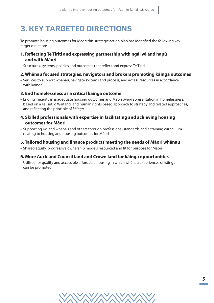# **3. KEY TARGETED DIRECTIONS**

To promote housing outcomes for Māori this strategic action plan has identified the following key target directions:

#### **1. Reflecting Te Tiriti and expressing partnership with ngā iwi and hapū and with Māori**

– Structures, systems, policies and outcomes that reflect and express Te Tiriti

#### **2. Whānau focused strategies, navigators and brokers promoting kāinga outcomes**

– Services to support whānau, navigate systems and process, and access resources in accordance with kāinga

#### **3. End homelessness as a critical kāinga outcome**

– Ending inequity in inadequate housing outcomes and Māori over-representation in homelessness, based on a Te Tiriti o Waitangi and human rights based approach to strategy and related approaches, and reflecting the principle of *kāinga*

#### **4. Skilled professionals with expertise in facilitating and achieving housing outcomes for Māori**

– Supporting iwi and whānau and others through professional standards and a training curriculum relating to housing and housing outcomes for Māori

#### **5. Tailored housing and finance products meeting the needs of Māori whānau**

– Shared equity, progressive ownership models resourced and fit for purpose for Māori

#### **6. More Auckland Council land and Crown land for kāinga opportunities**

– Utilised for quality and accessible affordable housing in which whānau experiences of kāinga can be promoted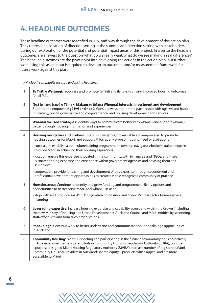# **4. HEADLINE OUTCOMES**

These headline outcomes were identified in July, mid-way through the development of this action plan. They represent a collation of direction setting at the summit, and direction setting with stakeholders during our exploration of the potential and potential impact areas of this project. In a sense the headline outcomes are answers to the question 'what do we really want/what do we see making a real difference?' The headline outcomes are the pivot point into developing the actions in the action plan, but further work using this as an input is required to develop an outcomes and/or measurement framework for future work against this plan.

#### *Iwi, Māori, community focused and facing headlines*

| $\mathbf{1}$   | Te Tiriti o Waitangi: recognise and promote Te Tiriti and its role in driving improved housing outcomes<br>for all Māori                                                                                                                                                                                                                                                                                                                   |
|----------------|--------------------------------------------------------------------------------------------------------------------------------------------------------------------------------------------------------------------------------------------------------------------------------------------------------------------------------------------------------------------------------------------------------------------------------------------|
| $\overline{2}$ | Ngā iwi and hapū o Tāmaki Makaurau (Mana Whenua) interests, investment and development:<br>Support and empower ngā iwi and hapū. Consider ways to promote partnership with ngā iwi and hapū<br>in strategy, policy, governance and co-governance, and housing development and services                                                                                                                                                     |
| 3              | Whanau focused strategies: Identify ways to communicate better with whanau and support whanau<br>better through housing information and experiences                                                                                                                                                                                                                                                                                        |
| $\overline{4}$ | Housing navigators and brokers: Establish navigators/brokers able and empowered to promote<br>housing outcomes for Māori, and support Māori at any stage of housing need or aspirations                                                                                                                                                                                                                                                    |
|                | • curriculum: establish a curriculum/training programme to develop navigators/brokers; trained experts<br>to guide Māori in achieving their housing aspirations                                                                                                                                                                                                                                                                            |
|                | · location: ensure this expertise is located in the community, with iwi, marae and NGOs, and there<br>is corresponding expertise and experience within government agencies and advising them at a<br>senior level                                                                                                                                                                                                                          |
|                | • cooperation: provide for sharing and development of this expertise through secondment and<br>professional development opportunities to create a viable recognized community of practice                                                                                                                                                                                                                                                  |
| 5              | Homelessness: Continue to identify and grow funding and programme delivery options and<br>opportunities to better serve Māori and whānau in need                                                                                                                                                                                                                                                                                           |
|                | · align with and promote Kia Whai Kāinga Tātou Katoa Auckland Council's cross sector homelessness<br>planning                                                                                                                                                                                                                                                                                                                              |
| 6              | Leveraging expertise: Increase housing expertise and capability across and within the Crown (including<br>the new Ministry of Housing and Urban Development), Auckland Council and Māori entities by seconding<br>staff/officials to and from such organisations                                                                                                                                                                           |
| $\overline{7}$ | Papakäinga: Continue work to better understand and communicate about papakäinga opportunities<br>in Auckland                                                                                                                                                                                                                                                                                                                               |
| 8              | <b>Community housing:</b> Māori supporting and participating in the future of community housing delivery<br>in Aotearoa; lower barriers to registration Community Housing Regulatory Authority (CHRA); consider<br>a purpose designed Māori Housing Regulatory Authority (MHRA); increase number of registered Māori<br>Community Housing Providers in Auckland; shared equity - products which appeal and are more<br>accessible to Māori |

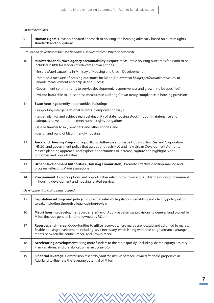*Shared headlines*

| 9                                                                                                                                                                 | Human rights: Develop a shared approach to housing and housing advocacy based on human rights<br>standards and obligations                                                                                                                                                                                             |  |
|-------------------------------------------------------------------------------------------------------------------------------------------------------------------|------------------------------------------------------------------------------------------------------------------------------------------------------------------------------------------------------------------------------------------------------------------------------------------------------------------------|--|
|                                                                                                                                                                   | Crown and government focused headlines (service and construction oriented)                                                                                                                                                                                                                                             |  |
| 10<br>Ministerial and Crown agency accountability: Require measurable housing outcomes for Māori to be<br>included in KPIs for leaders of relevant Crown entities |                                                                                                                                                                                                                                                                                                                        |  |
|                                                                                                                                                                   | • Ensure Māori capability in Ministry of Housing and Urban Development                                                                                                                                                                                                                                                 |  |
|                                                                                                                                                                   | • Establish a measure of housing outcomes for Māori (Government käinga performance measure) to<br>enable measurement and help define success                                                                                                                                                                           |  |
|                                                                                                                                                                   | • Government commitments to service development, responsiveness and growth (to be specified)                                                                                                                                                                                                                           |  |
|                                                                                                                                                                   | · Iwi and hapū able to utilise these measures in auditing Crown treaty compliance in housing provision                                                                                                                                                                                                                 |  |
| 11                                                                                                                                                                | State housing: Identify opportunities including:                                                                                                                                                                                                                                                                       |  |
|                                                                                                                                                                   | • supporting intergenerational tenants in empowering ways                                                                                                                                                                                                                                                              |  |
|                                                                                                                                                                   | • target, plan for and achieve real sustainability of state housing stock through maintenance and<br>adequate development to meet human rights obligations                                                                                                                                                             |  |
|                                                                                                                                                                   | · sale or transfer to iwi, providers, and other entities; and                                                                                                                                                                                                                                                          |  |
|                                                                                                                                                                   | • design and build of Māori friendly housing                                                                                                                                                                                                                                                                           |  |
| 12                                                                                                                                                                | Auckland Housing Programme portfolio: Influence and shape Housing New Zealand Corporation<br>(HNZC) and government policy that guides or directs HLC and new Urban Development Authority<br>master-planning approach, and explore opportunities to increase, capture and highlight Māori<br>outcomes and opportunities |  |
| 13                                                                                                                                                                | Urban Development Authorities (Housing Commission): Promote effective decision-making and<br>progress reflecting Māori aspirations                                                                                                                                                                                     |  |
| 14                                                                                                                                                                | Procurement: Explore options and opportunities relating to Crown and Auckland Council procurement<br>in housing development and housing related services                                                                                                                                                               |  |

*Development and planning focused*

| 15 | <b>Legislative settings and policy:</b> Ensure that relevant legislation is enabling and identify policy setting<br>tweaks including through a legal opinion/review                                                                                            |
|----|----------------------------------------------------------------------------------------------------------------------------------------------------------------------------------------------------------------------------------------------------------------|
| 16 | Māori housing development on general land: Apply papakāinga provisions to general land owned by<br>Māori (include general land not owned by Māori)                                                                                                             |
| 17 | Reserves and marae: Opportunities to utilise reserves where marae are located and adjoined to marae.<br>Enable housing development including, as/if necessary, establishing workable co-governance arrange-<br>ments between the council/Maori and Crown/Maori |
| 18 | Accelerating development: Bring more funders to the table quickly (including shared equity), Unitary<br>Plan variations, and prefabrication as an accelerator                                                                                                  |
| 19 | <b>Financial leverage:</b> Commission research/ <i>paint the picture</i> of Maori-owned freehold properties in<br>Auckland to illustrate the leverage potential of Māori                                                                                       |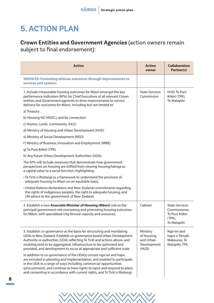# **5. ACTION PLAN**

## **Crown Entities and Government Agencies** (action owners remain subject to final endorsement):

| <b>Action</b>                                                                                                                                                                                                                                                                                                                                                                | <b>Action</b><br>owner                                      | <b>Collaboration</b><br>Partner(s)                                                   |  |
|------------------------------------------------------------------------------------------------------------------------------------------------------------------------------------------------------------------------------------------------------------------------------------------------------------------------------------------------------------------------------|-------------------------------------------------------------|--------------------------------------------------------------------------------------|--|
| <b>SERVICES: Promoting whanau outcomes through improvements to</b><br>services and systems                                                                                                                                                                                                                                                                                   |                                                             |                                                                                      |  |
| 1. Include measurable housing outcomes for Māori amongst the key<br>performance indicators (KPIs) for Chief Executives of all relevant Crown<br>entities and Government agencies to drive improvements to service<br>delivery for outcomes for Māori, including but not limited to:                                                                                          | <b>State Services</b><br>Commission                         | HUD, Te Puni<br>Kōkiri (TPK),<br>Te Matapihi                                         |  |
| a) Treasury                                                                                                                                                                                                                                                                                                                                                                  |                                                             |                                                                                      |  |
| b) Housing NZ (HNZC); and by connection                                                                                                                                                                                                                                                                                                                                      |                                                             |                                                                                      |  |
| c) Homes. Lands. Community. (HLC)                                                                                                                                                                                                                                                                                                                                            |                                                             |                                                                                      |  |
| d) Ministry of Housing and Urban Development (HUD)                                                                                                                                                                                                                                                                                                                           |                                                             |                                                                                      |  |
| e) Ministry of Social Development (MSD)                                                                                                                                                                                                                                                                                                                                      |                                                             |                                                                                      |  |
| f) Ministry of Business, Innovation and Employment (MBIE)                                                                                                                                                                                                                                                                                                                    |                                                             |                                                                                      |  |
| g) Te Puni Kōkiri (TPK)                                                                                                                                                                                                                                                                                                                                                      |                                                             |                                                                                      |  |
| h) Any future Urban Development Authorities (UDA).                                                                                                                                                                                                                                                                                                                           |                                                             |                                                                                      |  |
| The KPIs will include measures that demonstrate how government<br>perspectives on housing are shifted from viewing housing/kāinga as<br>a capital value to a social function, highlighting:                                                                                                                                                                                  |                                                             |                                                                                      |  |
| • Te Tiriti o Waitangi as a framework to understand the provision of<br>adequate housing to Māori on an equitable basis;                                                                                                                                                                                                                                                     |                                                             |                                                                                      |  |
| • United Nations declarations and New Zealand commitments regarding<br>the rights of indigenous peoples, the right to adequate housing, and<br>UN advice to the government of New Zealand.                                                                                                                                                                                   |                                                             |                                                                                      |  |
| 2. Establish a new Associate Minister of Housing (Māori) role as the<br>principal government role overseeing and promoting housing outcomes<br>for Māori, with specialized ring-fenced capacity and resources.                                                                                                                                                               | Cabinet                                                     | <b>State Services</b><br>Commissioner,<br>Te Puni Kōkiri<br>$(TPK)$ ,<br>Te Matapihi |  |
| 3. Establish co-governance as the basis for structuring and mandating<br>UDAs in New Zealand. Establish co-governance based Urban Development<br>Authority or authorities (UDA) reflecting Te Tiriti and actions above, and<br>enabling land to be aggregated, infrastructure to be optimized and<br>provided, and development to occur at appropriate and sufficient scale  | Ministry<br>of Housing<br>and Urban<br>Development<br>(HUD) | Ngā iwi and<br>hapū o Tāmaki<br>Makaurau, Te<br>Matapihi, TPK                        |  |
| In addition to co-governance of the UDA(s) ensure ngā iwi and hapū<br>are included in planning and implementation, and enabled to participate<br>in the UDA in a range of ways including commercial opportunities<br>(procurement), and continue to have rights to input and respond to plans<br>and consenting in accordance with current rights, and Te Tiriti o Waitangi. |                                                             |                                                                                      |  |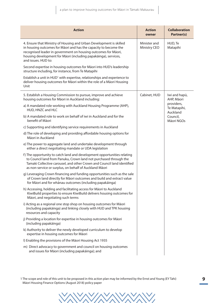| <b>Action</b>                                                                                                                                                                                                                                                                                       | <b>Action</b><br>owner       | <b>Collaboration</b><br>Partner(s)     |                     |  |  |  |  |  |  |  |  |  |  |  |  |  |  |  |  |  |  |  |  |  |  |  |  |  |  |  |  |  |  |  |  |  |  |  |  |  |  |  |  |  |  |
|-----------------------------------------------------------------------------------------------------------------------------------------------------------------------------------------------------------------------------------------------------------------------------------------------------|------------------------------|----------------------------------------|---------------------|--|--|--|--|--|--|--|--|--|--|--|--|--|--|--|--|--|--|--|--|--|--|--|--|--|--|--|--|--|--|--|--|--|--|--|--|--|--|--|--|--|--|
| 4. Ensure that Ministry of Housing and Urban Development is skilled<br>in housing outcomes for Māori and has the capacity to become the<br>recognised leader in government on housing outcomes for Māori,<br>housing development for Māori (including papakāinga), services,<br>and issues. HUD to: | Minister and<br>Ministry CEO |                                        | HUD, Te<br>Matapihi |  |  |  |  |  |  |  |  |  |  |  |  |  |  |  |  |  |  |  |  |  |  |  |  |  |  |  |  |  |  |  |  |  |  |  |  |  |  |  |  |  |  |
| Second expertise in housing outcomes for Māori into HUD's leadership<br>structure including, for instance, from Te Matapihi                                                                                                                                                                         |                              |                                        |                     |  |  |  |  |  |  |  |  |  |  |  |  |  |  |  |  |  |  |  |  |  |  |  |  |  |  |  |  |  |  |  |  |  |  |  |  |  |  |  |  |  |  |
| Establish a unit in HUD <sup>1</sup> with expertise, relationships and experience to<br>deliver housing outcomes for Māori within the role of a Māori Housing<br>Unit                                                                                                                               |                              |                                        |                     |  |  |  |  |  |  |  |  |  |  |  |  |  |  |  |  |  |  |  |  |  |  |  |  |  |  |  |  |  |  |  |  |  |  |  |  |  |  |  |  |  |  |
| 5. Establish a Housing Commission to pursue, improve and achieve<br>housing outcomes for Māori in Auckland including:                                                                                                                                                                               | Cabinet, HUD                 | Iwi and hapū,<br>AHP, Māori            |                     |  |  |  |  |  |  |  |  |  |  |  |  |  |  |  |  |  |  |  |  |  |  |  |  |  |  |  |  |  |  |  |  |  |  |  |  |  |  |  |  |  |  |
| a) A mandated role working with Auckland Housing Programme (AHP),<br>HUD, HNZC and HLC                                                                                                                                                                                                              |                              | providers,<br>Te Matapihi,<br>Auckland |                     |  |  |  |  |  |  |  |  |  |  |  |  |  |  |  |  |  |  |  |  |  |  |  |  |  |  |  |  |  |  |  |  |  |  |  |  |  |  |  |  |  |  |
| b) A mandated role to work on behalf of iwi in Auckland and for the<br>benefit of Māori                                                                                                                                                                                                             |                              | Council,<br>Māori NGOs                 |                     |  |  |  |  |  |  |  |  |  |  |  |  |  |  |  |  |  |  |  |  |  |  |  |  |  |  |  |  |  |  |  |  |  |  |  |  |  |  |  |  |  |  |
| c) Supporting and identifying service requirements in Auckland                                                                                                                                                                                                                                      |                              |                                        |                     |  |  |  |  |  |  |  |  |  |  |  |  |  |  |  |  |  |  |  |  |  |  |  |  |  |  |  |  |  |  |  |  |  |  |  |  |  |  |  |  |  |  |
| d) The role of developing and providing affordable housing options for<br>Māori in Auckland                                                                                                                                                                                                         |                              |                                        |                     |  |  |  |  |  |  |  |  |  |  |  |  |  |  |  |  |  |  |  |  |  |  |  |  |  |  |  |  |  |  |  |  |  |  |  |  |  |  |  |  |  |  |
| e) The power to aggregate land and undertake development through<br>either a direct negotiating mandate or UDA legislation                                                                                                                                                                          |                              |                                        |                     |  |  |  |  |  |  |  |  |  |  |  |  |  |  |  |  |  |  |  |  |  |  |  |  |  |  |  |  |  |  |  |  |  |  |  |  |  |  |  |  |  |  |
| f) The opportunity to catch land and development opportunities relating<br>to Council land from Panuku, Crown land not purchased through the<br>Tamaki Collective carousel, and other Crown and Council land identified<br>as non-service or surplus, on behalf of Auckland Māori                   |                              |                                        |                     |  |  |  |  |  |  |  |  |  |  |  |  |  |  |  |  |  |  |  |  |  |  |  |  |  |  |  |  |  |  |  |  |  |  |  |  |  |  |  |  |  |  |
| g) Leveraging Crown financing and funding opportunities such as the sale<br>of Crown land directly for Māori outcomes and build and extract value<br>for Māori and for whānau outcomes (including papakāinga)                                                                                       |                              |                                        |                     |  |  |  |  |  |  |  |  |  |  |  |  |  |  |  |  |  |  |  |  |  |  |  |  |  |  |  |  |  |  |  |  |  |  |  |  |  |  |  |  |  |  |
| h) Accessing, holding and facilitating access for Māori to Auckland<br>KiwiBuild properties to ensure KiwiBuild delivers housing outcomes for<br>Māori, and negotiating such terms                                                                                                                  |                              |                                        |                     |  |  |  |  |  |  |  |  |  |  |  |  |  |  |  |  |  |  |  |  |  |  |  |  |  |  |  |  |  |  |  |  |  |  |  |  |  |  |  |  |  |  |
| i) Acting as a regional one stop shop on housing outcomes for Māori<br>(including papakāinga) and linking closely with HUD and TPK housing<br>resources and capacity                                                                                                                                |                              |                                        |                     |  |  |  |  |  |  |  |  |  |  |  |  |  |  |  |  |  |  |  |  |  |  |  |  |  |  |  |  |  |  |  |  |  |  |  |  |  |  |  |  |  |  |
| j) Providing a location for expertise in housing outcomes for Māori<br>(including papakāinga)                                                                                                                                                                                                       |                              |                                        |                     |  |  |  |  |  |  |  |  |  |  |  |  |  |  |  |  |  |  |  |  |  |  |  |  |  |  |  |  |  |  |  |  |  |  |  |  |  |  |  |  |  |  |
| k) Authority to deliver the newly developed curriculum to develop<br>expertise in housing outcomes for Māori                                                                                                                                                                                        |                              |                                        |                     |  |  |  |  |  |  |  |  |  |  |  |  |  |  |  |  |  |  |  |  |  |  |  |  |  |  |  |  |  |  |  |  |  |  |  |  |  |  |  |  |  |  |
| I) Enabling the provisions of the Māori Housing Act 1935                                                                                                                                                                                                                                            |                              |                                        |                     |  |  |  |  |  |  |  |  |  |  |  |  |  |  |  |  |  |  |  |  |  |  |  |  |  |  |  |  |  |  |  |  |  |  |  |  |  |  |  |  |  |  |
| m) Direct advocacy to government and council on housing outcomes<br>and issues for Māori (including papakāinga); and                                                                                                                                                                                |                              |                                        |                     |  |  |  |  |  |  |  |  |  |  |  |  |  |  |  |  |  |  |  |  |  |  |  |  |  |  |  |  |  |  |  |  |  |  |  |  |  |  |  |  |  |  |

<sup>1</sup> The scope and role of this unit to be proposed in this action plan may be informed by the Ernst and Young (EY Tahi) Māori Housing Finance Options (August 2018) policy paper

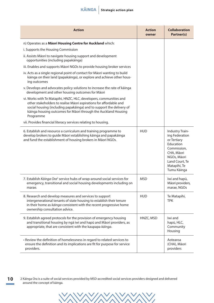| <b>Action</b>                                                                                                                                                                                                                                                                                   | <b>Action</b><br>owner | <b>Collaboration</b><br>Partner(s)                                                                                                                         |
|-------------------------------------------------------------------------------------------------------------------------------------------------------------------------------------------------------------------------------------------------------------------------------------------------|------------------------|------------------------------------------------------------------------------------------------------------------------------------------------------------|
| n) Operates as a Maori Housing Centre for Auckland which:                                                                                                                                                                                                                                       |                        |                                                                                                                                                            |
| i. Supports the Housing Commission                                                                                                                                                                                                                                                              |                        |                                                                                                                                                            |
| ii. Assists Māori to navigate housing support and development<br>opportunities (including papakāinga)                                                                                                                                                                                           |                        |                                                                                                                                                            |
| iii. Enables and supports Māori NGOs to provide housing broker services                                                                                                                                                                                                                         |                        |                                                                                                                                                            |
| iv. Acts as a single regional point of contact for Māori wanting to build<br>kāinga on their land (papakāinga), or explore and achieve other hous-<br>ing outcomes                                                                                                                              |                        |                                                                                                                                                            |
| v. Develops and advocates policy solutions to increase the rate of käinga<br>development and other housing outcomes for Māori                                                                                                                                                                   |                        |                                                                                                                                                            |
| vi. Works with Te Matapihi, HNZC, HLC, developers, communities and<br>other stakeholders to realise Māori aspirations for affordable and<br>social housing (including papakāinga) and to support the delivery of<br>käinga housing outcomes for Māori through the Auckland Housing<br>Programme |                        |                                                                                                                                                            |
| vii. Provides financial literacy services relating to housing.                                                                                                                                                                                                                                  |                        |                                                                                                                                                            |
| 6. Establish and resource a curriculum and training programme to<br>develop brokers to guide Māori establishing kāinga and papakāinga<br>and fund the establishment of housing brokers in Māori NGOs.                                                                                           | <b>HUD</b>             | Industry Train-<br>ing Federation<br>or Tertiary<br>Education<br>Commission,<br>CHA, Māori<br>NGOs, Māori<br>Land Court, Te<br>Matapihi, Te<br>Tumu Kāinga |
| 7. Establish Kāinga Ora <sup>2</sup> service hubs of wrap-around social services for<br>emergency, transitional and social housing developments including on<br>marae.                                                                                                                          | <b>MSD</b>             | Iwi and hapū,<br>Māori providers,<br>marae, NGOs                                                                                                           |
| 8. Research and develop measures and services to support<br>intergenerational tenants of state housing to establish their tenure<br>in their home as kainga consistent with the recent progressive home<br>ownership consultation advice.                                                       | <b>HUD</b>             | Te Matapihi,<br><b>TPK</b>                                                                                                                                 |
| 9. Establish agreed protocols for the provision of emergency housing<br>and transitional housing by ngā iwi and hapū and Māori providers, as<br>appropriate, that are consistent with the kaupapa kāinga.                                                                                       | HNZC, MSD              | lwi and<br>hapū, HLC,<br>Community<br>Housing                                                                                                              |
| • Review the definition of homelessness in regard to related services to<br>ensure the definition and its implications are fit for purpose for service<br>providers.                                                                                                                            |                        | Aotearoa<br>(CHA), Māori<br>providers                                                                                                                      |

**10** 2 Kāinga Ora is a suite of social services provided by MSD-accredited social services providers designed and delivered around the concept of kāinga.

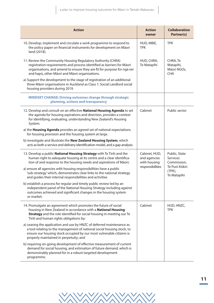| <b>Action</b>                                                                                                                                                                                                                                                       | <b>Action</b><br>owner                                            | <b>Collaboration</b><br>Partner(s)                                                            |
|---------------------------------------------------------------------------------------------------------------------------------------------------------------------------------------------------------------------------------------------------------------------|-------------------------------------------------------------------|-----------------------------------------------------------------------------------------------|
| 10. Develop, implement and circulate a work programme to respond to<br>the policy paper on financial instruments for development on Māori<br>land (2018).                                                                                                           | HUD, MBIE,<br><b>TPK</b>                                          | <b>TPK</b>                                                                                    |
| 11. Review the Community Housing Regulatory Authority (CHRA)<br>registration requirements and process identified as barriers for Māori<br>organisations, and amend to ensure they are fit for purpose for ngā iwi<br>and hapū, other Māori and Māori organisations. | HUD, CHRA,<br>Te Matapihi                                         | CHRA, Te<br>Matapihi,<br>Māori NGOs,<br><b>CHA</b>                                            |
| a) Support the development to the stage of registration of an additional<br>three Māori organisations in Auckland as Class 1: Social Landlord social<br>housing providers during 2019.                                                                              |                                                                   |                                                                                               |
| <b>MINDSET CHANGE: Driving outcomes change through strategic</b><br>planning, actions and transparency                                                                                                                                                              |                                                                   |                                                                                               |
| 12. Develop and consult on an effective National Housing Agenda to set<br>the agenda for housing aspirations and direction, provides a context<br>for identifying, evaluating, understanding New Zealand's Housing<br>System.                                       | Cabinet                                                           | Public sector                                                                                 |
| a) the Housing Agenda provides an agreed set of national expectations<br>for housing provision and the housing system at large.                                                                                                                                     |                                                                   |                                                                                               |
| b) investigate and illustrate the New Zealand Housing System, which<br>acts as both a service and delivery identification model, and a gap analysis.                                                                                                                |                                                                   |                                                                                               |
| 13. Develop a public National Housing Strategy with Te Tiriti and the<br>human right to adequate housing at its centre and a clear identifica-<br>tion of and response to the housing needs and aspirations of Māori;                                               | Cabinet, HUD,<br>and agencies<br>with housing<br>responsibilities | Public, State<br><b>Services</b><br>Commission,<br>Te Puni Kōkiri<br>$(TPK)$ ,<br>Te Matapihi |
| a) ensure all agencies with housing responsibilities have a public<br>'sub-strategy' which, demonstrates clear links to the national strategy<br>and guides their internal responsibilities and activities                                                          |                                                                   |                                                                                               |
| b) establish a process for regular and timely public review led by an<br>independent panel of the National Housing Strategy including against<br>outcomes achieved and significant changes in the housing system<br>or market.                                      |                                                                   |                                                                                               |
| 14. Promulgate an agreement which promotes the future of social<br>housing in New Zealand in accordance with a National Housing<br>Strategy and the role identified for social housing in meeting our Te<br>Tiriti and human rights obligations by:                 | Cabinet                                                           | HUD, HNZC,<br><b>TPK</b>                                                                      |
| a) ceasing the application and use by HNZC of deferred maintenance as<br>a tool relating to the management of national social housing stock, to<br>ensure our housing stock occupied by our most vulnerable citizens is<br>properly maintained in perpetuity; and   |                                                                   |                                                                                               |
| b) requiring on-going development of effective measurement of current<br>demand for social housing, and estimation of future demand, which is<br>demonstrably planned for in a robust targeted development<br>programme.                                            |                                                                   |                                                                                               |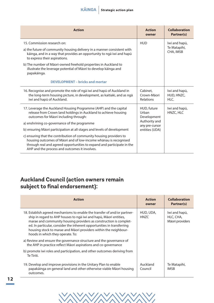| <b>Action</b>                                                                                                                                                                                                                                                                                                                                                                                                                                       | <b>Action</b><br>owner                                                                   | <b>Collaboration</b><br>Partner(s)         |
|-----------------------------------------------------------------------------------------------------------------------------------------------------------------------------------------------------------------------------------------------------------------------------------------------------------------------------------------------------------------------------------------------------------------------------------------------------|------------------------------------------------------------------------------------------|--------------------------------------------|
| 15. Commission research on:<br>a) the future of community housing delivery in a manner consistent with<br>kāinga, and in a way that provides an opportunity to ngā iwi and hapū<br>to express their aspirations.<br>b) The number of Māori-owned freehold properties in Auckland to<br>illustrate the leverage potential of Māori to develop kāinga and<br>papakāinga.<br><b>DEVELOPMENT - bricks and mortar</b>                                    | <b>HUD</b>                                                                               | Iwi and hapū,<br>Te Matapihi,<br>CHA, IMSB |
| 16. Recognise and promote the role of ngā iwi and hapū of Auckland in<br>the long-term housing picture, in development, as kaitiaki, and as ngā<br>iwi and hapū of Auckland.                                                                                                                                                                                                                                                                        | Cabinet,<br>Crown-Māori<br>Relations                                                     | Iwi and hapū,<br>HUD, HNZC,<br>HIC.        |
| 17. Leverage the Auckland Housing Programme (AHP) and the capital<br>release from Crown land holdings in Auckland to achieve housing<br>outcomes for Māori including through:<br>a) enshrining co-governance of the programme<br>b) ensuring Māori participation at all stages and levels of development<br>c) ensuring that the contribution of community housing providers to<br>housing outcomes of Māori and of low-income whānau is recognised | HUD, future<br>Urban<br>Development<br>Authority and<br>any pre-cursor<br>entities (UDA) | Iwi and hapū,<br>HNZC, HLC                 |
| through real and agreed opportunities to expand and participate in the<br>AHP and the process and outcomes it involves.                                                                                                                                                                                                                                                                                                                             |                                                                                          |                                            |

## **Auckland Council (action owners remain subject to final endorsement):**

| <b>Action</b>                                                                                                                                                                                                                                                                                                                                                                                         | <b>Action</b><br>owner        | <b>Collaboration</b><br>Partner(s)            |
|-------------------------------------------------------------------------------------------------------------------------------------------------------------------------------------------------------------------------------------------------------------------------------------------------------------------------------------------------------------------------------------------------------|-------------------------------|-----------------------------------------------|
| 18. Establish agreed mechanisms to enable the transfer of and/or partner-<br>ship in regard to AHP houses to ngā iwi and hapū, Māori entities,<br>marae and community housing providers as construction is complet-<br>ed. In particular, consider the inherent opportunities in transferring<br>housing stock to marae and Māori providers within the neighbour-<br>hoods in which they operate. To: | HUD, UDA,<br>HN <sub>7C</sub> | Iwi and hapū,<br>HLC, CHA,<br>Māori providers |
| a) Review and ensure the governance structure and the governance of<br>the AHP in practice reflect Māori aspirations and co-governance                                                                                                                                                                                                                                                                |                               |                                               |
| b) promote iwi roles and participation, and other outcomes deriving from<br>Te Tiriti.                                                                                                                                                                                                                                                                                                                |                               |                                               |
| 19. Develop and improve provisions in the Unitary Plan to enable<br>papakāinga on general land and other otherwise viable Māori housing<br>outcomes.                                                                                                                                                                                                                                                  | Auckland<br>Council           | Te Matapihi,<br><b>IMSB</b>                   |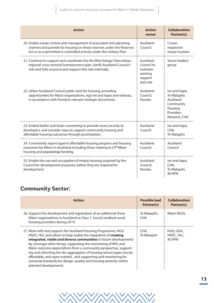| <b>Action</b>                                                                                                                                                                                                        | <b>Action</b><br>owner                                                | <b>Collaboration</b><br>Partner(s)                                                             |
|----------------------------------------------------------------------------------------------------------------------------------------------------------------------------------------------------------------------|-----------------------------------------------------------------------|------------------------------------------------------------------------------------------------|
| 20. Enable marae control and management of associated and adjoining<br>reserves and provide for housing on these reserves under the Reserves<br>Act or as a permitted or controlled activity under the Unitary Plan. | Auckland<br>Council                                                   | Crown,<br>respective<br>marae trustees                                                         |
| 21. Continue to support and coordinate the Kia Whai Käinga Tatou Katoa<br>regional cross-sectoral homelessness plan, clarify Auckland Council's<br>role and fully resource and support this role internally.         | Auckland<br>Council to<br>maintain<br>existing<br>support<br>and role | Sector leaders<br>group                                                                        |
| 22. Utilise Auckland Council public land for housing, providing<br>opportunities for Māori organisations, ngā iwi and hapū and whānau,<br>in accordance with Panuku's relevant strategic documents.                  | Auckland<br>Council,<br>Panuku                                        | Iwi and hapū,<br>Te Matapihi,<br>Auckland<br>Community<br>Housing<br>Providers<br>Network, CHA |
| 23. Embed better and faster consenting to provide more security to<br>developers, and consider ways to support community housing and<br>affordable housing outcomes through prioritisation.                          | Auckland<br>Council                                                   | Iwi and hapū,<br>CHA,<br>Te Matapihi                                                           |
| 24. Consistently report against affordable housing progress and housing<br>outcomes for Māori in Auckland including those relating to LTP Māori<br>housing and papakāinga funding.                                   | Auckland<br>Council                                                   | Auckland<br>Council                                                                            |
| 25. Enable the use and occupation of empty housing acquired by the<br>Council for development purposes, before they are required for<br>development.                                                                 | Auckland<br>Council,<br>Panuku                                        | Iwi and hapū,<br>CHA,<br>Te Matapihi,<br><b>ACHPN</b>                                          |

## **Community Sector:**

| <b>Action</b>                                                                                                                                                                                                                                                                                                                                                                                                                                                                                                                                                                              | Possible lead<br>Partner(s) | <b>Collaboration</b><br>Partner(s)      |
|--------------------------------------------------------------------------------------------------------------------------------------------------------------------------------------------------------------------------------------------------------------------------------------------------------------------------------------------------------------------------------------------------------------------------------------------------------------------------------------------------------------------------------------------------------------------------------------------|-----------------------------|-----------------------------------------|
| 26. Support the development and registration of an additional three<br>Māori organisations in Auckland as Class 1: Social Landlord social<br>housing providers during 2019.                                                                                                                                                                                                                                                                                                                                                                                                                | Te Matapihi,<br><b>CHA</b>  | Māori NGOs                              |
| 27. Work with and support the Auckland Housing Programme, HUD,<br>HNZC, HLC and others to help realise the imperative of creating<br>integrated, viable and diverse communities in future developments<br>by, amongst other things, supporting the monitoring of KPIs and<br>Māori outcome expectations from a community perspective, support-<br>ing and informing the dis-aggregation of housing tenure types (social,<br>affordable, and open market), and supporting and monitoring for<br>universal standards for design, quality and housing amenity within<br>planned developments. | CHA.<br>Te Matapihi         | HUD, UDA,<br>HNZC, HLC,<br><b>ACHPN</b> |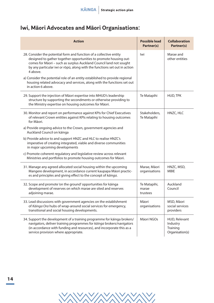## **Iwi, Māori Advocates and Māori Organisations:**

| <b>Action</b>                                                                                                                                                                                                                                                                                           | <b>Possible lead</b><br>Partner(s) | <b>Collaboration</b><br>Partner(s)                       |
|---------------------------------------------------------------------------------------------------------------------------------------------------------------------------------------------------------------------------------------------------------------------------------------------------------|------------------------------------|----------------------------------------------------------|
| 28. Consider the potential form and function of a collective entity<br>designed to gather together opportunities to promote housing out-<br>comes for Māori - such as surplus Auckland Council land not sought<br>by any particular iwi or rōpū, along with the functions set out in action<br>4 above. | lwi                                | Marae and<br>other entities                              |
| a) Consider the potential role of an entity established to provide regional<br>housing related advocacy and services, along with the functions set out<br>in action 6 above.                                                                                                                            |                                    |                                                          |
| 29. Support the injection of Māori expertise into MHUD's leadership<br>structure by supporting the secondments or otherwise providing to<br>the Ministry expertise on housing outcomes for Māori.                                                                                                       | Te Matapihi                        | HUD, TPK                                                 |
| 30. Monitor and report on performance against KPIs for Chief Executives<br>of relevant Crown entities against KPIs relating to housing outcomes<br>for Māori.                                                                                                                                           | Stakeholders,<br>Te Matapihi       | HNZC, HLC                                                |
| a) Provide ongoing advice to the Crown, government agencies and<br>Auckland Council on käinga                                                                                                                                                                                                           |                                    |                                                          |
| b) Provide advice to and support HNZC and HLC to realise HNZC's<br>imperative of creating integrated, viable and diverse communities<br>in major upcoming developments                                                                                                                                  |                                    |                                                          |
| c) Promote coherent regulatory and legislative review across relevant<br>Ministries and portfolios to promote housing outcomes for Māori.                                                                                                                                                               |                                    |                                                          |
| 31. Manage any agreed allocated social housing within the upcoming<br>Mangere development, in accordance current kaupapa Māori practic-<br>es and principles and giving effect to the concept of kāinga.                                                                                                | Marae, Māori<br>organisations      | HNZC, MSD,<br><b>MBIE</b>                                |
| 32. Scope and promote 'on the ground' opportunities for kainga<br>development of reserves on which marae are sited and reserves<br>adjoining marae.                                                                                                                                                     | Te Matapihi,<br>marae<br>trustees  | Auckland<br>Council                                      |
| 33. Lead discussions with government agencies on the establishment<br>of Kāinga Ora hubs of wrap-around social services for emergency,<br>transitional and social housing developments.                                                                                                                 | Māori<br>organisations             | MSD, Māori<br>social services<br>providers               |
| 34. Support the development of a training programme for kainga brokers/<br>navigators, deliver training programmes for kāinga brokers/navigators<br>(in accordance with funding and resources), and incorporate this as a<br>service provision where appropriate.                                       | Māori NGOs                         | HUD, Relevant<br>Industry<br>Training<br>Organisation(s) |